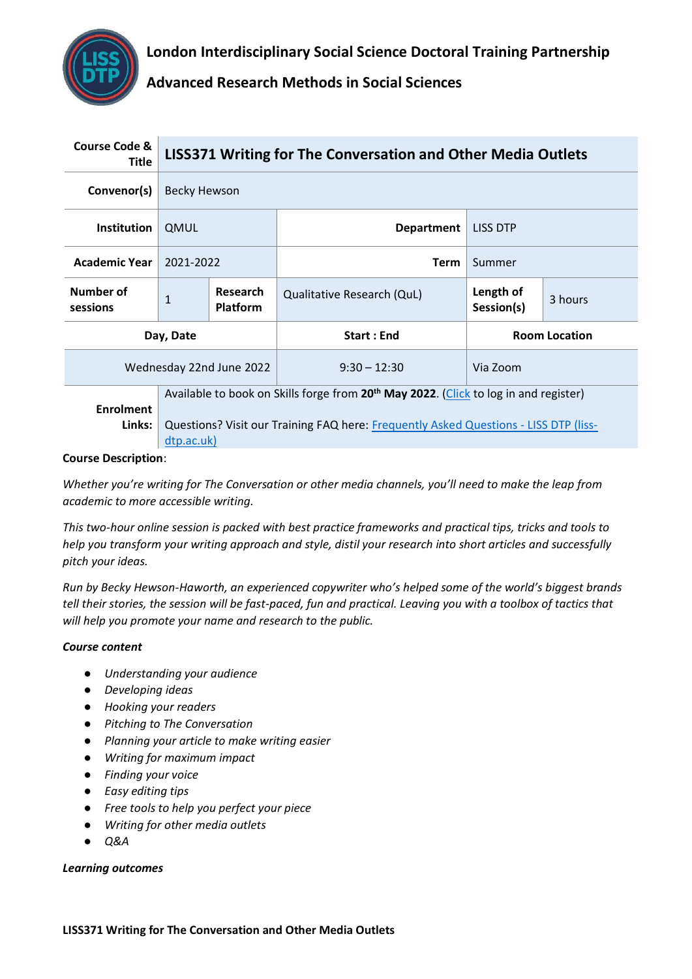**London Interdisciplinary Social Science Doctoral Training Partnership**



**Advanced Research Methods in Social Sciences**

| <b>Course Code &amp;</b><br>Title | LISS371 Writing for The Conversation and Other Media Outlets                                                                                                                                           |                                    |                            |                         |         |
|-----------------------------------|--------------------------------------------------------------------------------------------------------------------------------------------------------------------------------------------------------|------------------------------------|----------------------------|-------------------------|---------|
| Convenor(s)                       | Becky Hewson                                                                                                                                                                                           |                                    |                            |                         |         |
| <b>Institution</b>                | <b>QMUL</b>                                                                                                                                                                                            |                                    | <b>Department</b>          | LISS DTP                |         |
| <b>Academic Year</b>              | 2021-2022                                                                                                                                                                                              |                                    | <b>Term</b>                | Summer                  |         |
| Number of<br>sessions             | $\mathbf{1}$                                                                                                                                                                                           | <b>Research</b><br><b>Platform</b> | Qualitative Research (QuL) | Length of<br>Session(s) | 3 hours |
| Day, Date                         |                                                                                                                                                                                                        |                                    | <b>Start: End</b>          | <b>Room Location</b>    |         |
| Wednesday 22nd June 2022          |                                                                                                                                                                                                        |                                    | $9:30 - 12:30$             | Via Zoom                |         |
| <b>Enrolment</b><br>Links:        | Available to book on Skills forge from 20 <sup>th</sup> May 2022. (Click to log in and register)<br>Questions? Visit our Training FAQ here: Frequently Asked Questions - LISS DTP (liss-<br>dtp.ac.uk) |                                    |                            |                         |         |

#### **Course Description**:

*Whether you're writing for The Conversation or other media channels, you'll need to make the leap from academic to more accessible writing.* 

*This two-hour online session is packed with best practice frameworks and practical tips, tricks and tools to help you transform your writing approach and style, distil your research into short articles and successfully pitch your ideas.* 

*Run by Becky Hewson-Haworth, an experienced copywriter who's helped some of the world's biggest brands tell their stories, the session will be fast-paced, fun and practical. Leaving you with a toolbox of tactics that will help you promote your name and research to the public.*

## *Course content*

- *Understanding your audience*
- *Developing ideas*
- *Hooking your readers*
- *Pitching to The Conversation*
- *Planning your article to make writing easier*
- *Writing for maximum impact*
- *Finding your voice*
- *Easy editing tips*
- *Free tools to help you perfect your piece*
- *Writing for other media outlets*
- *Q&A*

## *Learning outcomes*